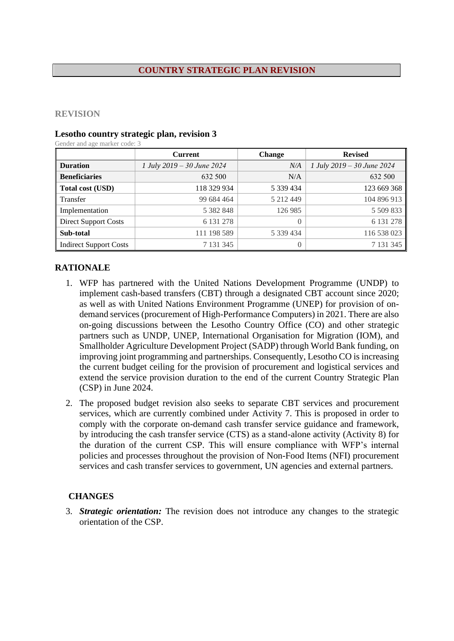#### **COUNTRY STRATEGIC PLAN REVISION**

#### **REVISION**

#### **Lesotho country strategic plan, revision 3**

Gender and age marker code: 3

|                               | <b>Current</b>             | <b>Change</b> | <b>Revised</b>             |  |
|-------------------------------|----------------------------|---------------|----------------------------|--|
| <b>Duration</b>               | 1 July 2019 – 30 June 2024 | N/A           | 1 July 2019 – 30 June 2024 |  |
| <b>Beneficiaries</b>          | 632 500                    | N/A           | 632 500                    |  |
| Total cost (USD)              | 118 329 934                | 5 339 434     | 123 669 368                |  |
| Transfer                      | 99 684 464                 | 5 212 449     | 104 896 913                |  |
| Implementation                | 5 3 8 2 8 4 8              | 126 985       | 5 509 833                  |  |
| <b>Direct Support Costs</b>   | 6 131 278                  | 0             | 6 131 278                  |  |
| Sub-total                     | 111 198 589                | 5 339 434     | 116 538 023                |  |
| <b>Indirect Support Costs</b> | 7 131 345                  | $\Omega$      | 7 131 345                  |  |

# **RATIONALE**

- 1. WFP has partnered with the United Nations Development Programme (UNDP) to implement cash-based transfers (CBT) through a designated CBT account since 2020; as well as with United Nations Environment Programme (UNEP) for provision of ondemand services (procurement of High-Performance Computers) in 2021. There are also on-going discussions between the Lesotho Country Office (CO) and other strategic partners such as UNDP, UNEP, International Organisation for Migration (IOM), and Smallholder Agriculture Development Project (SADP) through World Bank funding, on improving joint programming and partnerships. Consequently, Lesotho CO is increasing the current budget ceiling for the provision of procurement and logistical services and extend the service provision duration to the end of the current Country Strategic Plan (CSP) in June 2024.
- 2. The proposed budget revision also seeks to separate CBT services and procurement services, which are currently combined under Activity 7. This is proposed in order to comply with the corporate on-demand cash transfer service guidance and framework, by introducing the cash transfer service (CTS) as a stand-alone activity (Activity 8) for the duration of the current CSP. This will ensure compliance with WFP's internal policies and processes throughout the provision of Non-Food Items (NFI) procurement services and cash transfer services to government, UN agencies and external partners.

# **CHANGES**

3. *Strategic orientation:* The revision does not introduce any changes to the strategic orientation of the CSP.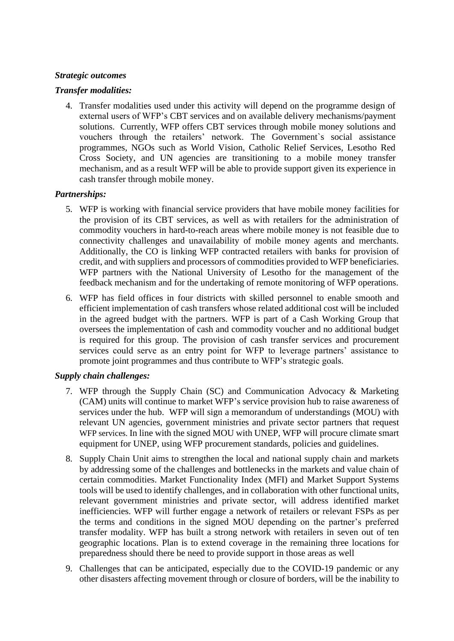## *Strategic outcomes*

#### *Transfer modalities:*

4. Transfer modalities used under this activity will depend on the programme design of external users of WFP's CBT services and on available delivery mechanisms/payment solutions. Currently, WFP offers CBT services through mobile money solutions and vouchers through the retailers' network. The Government`s social assistance programmes, NGOs such as World Vision, Catholic Relief Services, Lesotho Red Cross Society, and UN agencies are transitioning to a mobile money transfer mechanism, and as a result WFP will be able to provide support given its experience in cash transfer through mobile money.

# *Partnerships:*

- 5. WFP is working with financial service providers that have mobile money facilities for the provision of its CBT services, as well as with retailers for the administration of commodity vouchers in hard-to-reach areas where mobile money is not feasible due to connectivity challenges and unavailability of mobile money agents and merchants. Additionally, the CO is linking WFP contracted retailers with banks for provision of credit, and with suppliers and processors of commodities provided to WFP beneficiaries. WFP partners with the National University of Lesotho for the management of the feedback mechanism and for the undertaking of remote monitoring of WFP operations.
- 6. WFP has field offices in four districts with skilled personnel to enable smooth and efficient implementation of cash transfers whose related additional cost will be included in the agreed budget with the partners. WFP is part of a Cash Working Group that oversees the implementation of cash and commodity voucher and no additional budget is required for this group. The provision of cash transfer services and procurement services could serve as an entry point for WFP to leverage partners' assistance to promote joint programmes and thus contribute to WFP's strategic goals.

#### *Supply chain challenges:*

- 7. WFP through the Supply Chain (SC) and Communication Advocacy & Marketing (CAM) units will continue to market WFP's service provision hub to raise awareness of services under the hub. WFP will sign a memorandum of understandings (MOU) with relevant UN agencies, government ministries and private sector partners that request WFP services. In line with the signed MOU with UNEP, WFP will procure climate smart equipment for UNEP, using WFP procurement standards, policies and guidelines.
- 8. Supply Chain Unit aims to strengthen the local and national supply chain and markets by addressing some of the challenges and bottlenecks in the markets and value chain of certain commodities. Market Functionality Index (MFI) and Market Support Systems tools will be used to identify challenges, and in collaboration with other functional units, relevant government ministries and private sector, will address identified market inefficiencies. WFP will further engage a network of retailers or relevant FSPs as per the terms and conditions in the signed MOU depending on the partner's preferred transfer modality. WFP has built a strong network with retailers in seven out of ten geographic locations. Plan is to extend coverage in the remaining three locations for preparedness should there be need to provide support in those areas as well
- 9. Challenges that can be anticipated, especially due to the COVID-19 pandemic or any other disasters affecting movement through or closure of borders, will be the inability to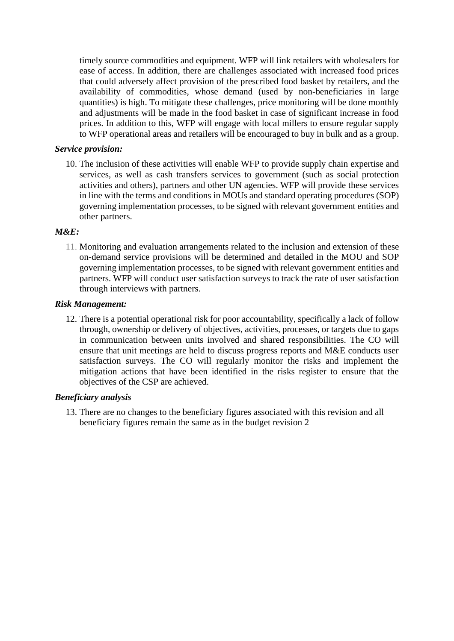timely source commodities and equipment. WFP will link retailers with wholesalers for ease of access. In addition, there are challenges associated with increased food prices that could adversely affect provision of the prescribed food basket by retailers, and the availability of commodities, whose demand (used by non-beneficiaries in large quantities) is high. To mitigate these challenges, price monitoring will be done monthly and adjustments will be made in the food basket in case of significant increase in food prices. In addition to this, WFP will engage with local millers to ensure regular supply to WFP operational areas and retailers will be encouraged to buy in bulk and as a group.

## *Service provision:*

10. The inclusion of these activities will enable WFP to provide supply chain expertise and services, as well as cash transfers services to government (such as social protection activities and others), partners and other UN agencies. WFP will provide these services in line with the terms and conditions in MOUs and standard operating procedures (SOP) governing implementation processes, to be signed with relevant government entities and other partners.

#### *M&E:*

11. Monitoring and evaluation arrangements related to the inclusion and extension of these on-demand service provisions will be determined and detailed in the MOU and SOP governing implementation processes, to be signed with relevant government entities and partners. WFP will conduct user satisfaction surveys to track the rate of user satisfaction through interviews with partners.

# *Risk Management:*

12. There is a potential operational risk for poor accountability, specifically a lack of follow through, ownership or delivery of objectives, activities, processes, or targets due to gaps in communication between units involved and shared responsibilities. The CO will ensure that unit meetings are held to discuss progress reports and M&E conducts user satisfaction surveys. The CO will regularly monitor the risks and implement the mitigation actions that have been identified in the risks register to ensure that the objectives of the CSP are achieved.

#### *Beneficiary analysis*

13. There are no changes to the beneficiary figures associated with this revision and all beneficiary figures remain the same as in the budget revision 2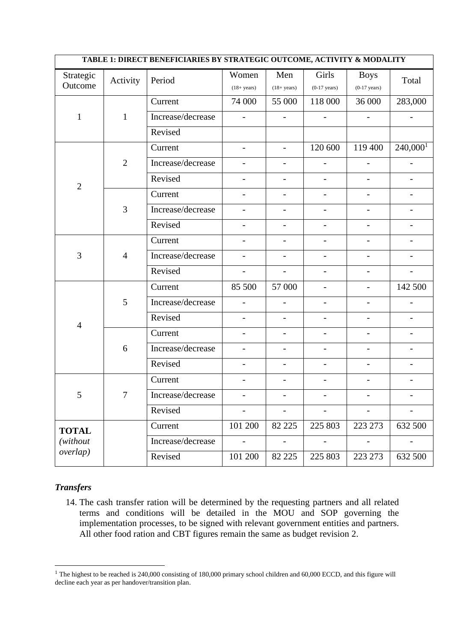| TABLE 1: DIRECT BENEFICIARIES BY STRATEGIC OUTCOME, ACTIVITY & MODALITY |                |                         |                          |                                                  |                          |                          |                          |  |
|-------------------------------------------------------------------------|----------------|-------------------------|--------------------------|--------------------------------------------------|--------------------------|--------------------------|--------------------------|--|
| Strategic                                                               | Activity       | Period                  | Women                    | Men                                              | Girls                    | <b>Boys</b>              | Total                    |  |
| Outcome                                                                 |                | $(18 + years)$          | $(18 + years)$           | $(0-17 \text{ years})$<br>$(0-17 \text{ years})$ |                          |                          |                          |  |
|                                                                         |                | Current                 | 74 000                   | 55 000                                           | 118 000                  | 36 000                   | 283,000                  |  |
| $\mathbf{1}$                                                            | $\mathbf{1}$   | Increase/decrease       | $\overline{\phantom{a}}$ | $\overline{\phantom{a}}$                         | $\overline{\phantom{a}}$ |                          | $\overline{\phantom{a}}$ |  |
|                                                                         |                | Revised                 |                          |                                                  |                          |                          |                          |  |
|                                                                         |                | Current                 | $\overline{\phantom{0}}$ | $\overline{\phantom{a}}$                         | 120 600                  | 119 400                  | $240,000$ <sup>1</sup>   |  |
|                                                                         | $\overline{2}$ | Increase/decrease       | $\overline{\phantom{0}}$ | $\overline{\phantom{a}}$                         | -                        |                          | $\overline{a}$           |  |
| $\overline{2}$                                                          |                | Revised                 | $\overline{\phantom{0}}$ | $\overline{a}$                                   | $\overline{\phantom{0}}$ |                          |                          |  |
|                                                                         |                | Current                 |                          |                                                  |                          |                          |                          |  |
|                                                                         | 3              | Increase/decrease       | -                        | -                                                | $\overline{\phantom{0}}$ |                          |                          |  |
|                                                                         |                | Revised                 |                          |                                                  |                          |                          |                          |  |
|                                                                         | $\overline{4}$ | Current                 | $\overline{\phantom{0}}$ | $\overline{\phantom{0}}$                         | $\overline{\phantom{0}}$ | $\overline{a}$           | $\qquad \qquad -$        |  |
| 3                                                                       |                | Increase/decrease       | $\overline{\phantom{0}}$ | $\overline{\phantom{0}}$                         | $\overline{\phantom{0}}$ |                          | $\overline{\phantom{0}}$ |  |
|                                                                         |                | Revised                 | $\overline{\phantom{0}}$ | $\overline{\phantom{0}}$                         | $\overline{\phantom{0}}$ |                          | $\overline{\phantom{0}}$ |  |
|                                                                         |                | Current                 | 85 500                   | 57 000                                           | $\overline{\phantom{a}}$ | $\qquad \qquad -$        | 142 500                  |  |
|                                                                         | 5              | Increase/decrease       | $\overline{a}$           |                                                  |                          |                          |                          |  |
| $\overline{4}$                                                          |                | Revised                 | $\overline{\phantom{0}}$ | $\overline{\phantom{0}}$                         | $\overline{\phantom{0}}$ | $\overline{\phantom{0}}$ | $\qquad \qquad -$        |  |
|                                                                         | 6              | Current                 | $\overline{a}$           | $\overline{a}$                                   | $\overline{\phantom{0}}$ |                          |                          |  |
|                                                                         |                | Increase/decrease       |                          |                                                  |                          |                          |                          |  |
|                                                                         |                | Revised                 | $\overline{\phantom{0}}$ | $\overline{\phantom{0}}$                         | $\overline{\phantom{a}}$ |                          | $\overline{\phantom{0}}$ |  |
| 5                                                                       | $\tau$         | Current                 | $\overline{\phantom{0}}$ | $\overline{\phantom{0}}$                         | $\overline{a}$           |                          | $\overline{\phantom{0}}$ |  |
|                                                                         |                | $\rm Increase/decrease$ |                          |                                                  |                          |                          |                          |  |
|                                                                         |                | Revised                 | $\overline{\phantom{a}}$ | $-$                                              | $\overline{\phantom{a}}$ | $\overline{\phantom{a}}$ | $\overline{\phantom{a}}$ |  |
| <b>TOTAL</b>                                                            |                | Current                 | 101 200                  | 82 2 2 5                                         | 225 803                  | 223 273                  | 632 500                  |  |
| (without                                                                |                | Increase/decrease       | $\overline{\phantom{a}}$ | $\overline{\phantom{a}}$                         | $\overline{\phantom{a}}$ | $\blacksquare$           | $\blacksquare$           |  |
| overlap)                                                                |                | Revised                 | 101 200                  | 82 225                                           | 225 803                  | 223 273                  | 632 500                  |  |

# *Transfers*

14. The cash transfer ration will be determined by the requesting partners and all related terms and conditions will be detailed in the MOU and SOP governing the implementation processes, to be signed with relevant government entities and partners. All other food ration and CBT figures remain the same as budget revision 2.

<sup>&</sup>lt;sup>1</sup> The highest to be reached is 240,000 consisting of 180,000 primary school children and 60,000 ECCD, and this figure will decline each year as per handover/transition plan.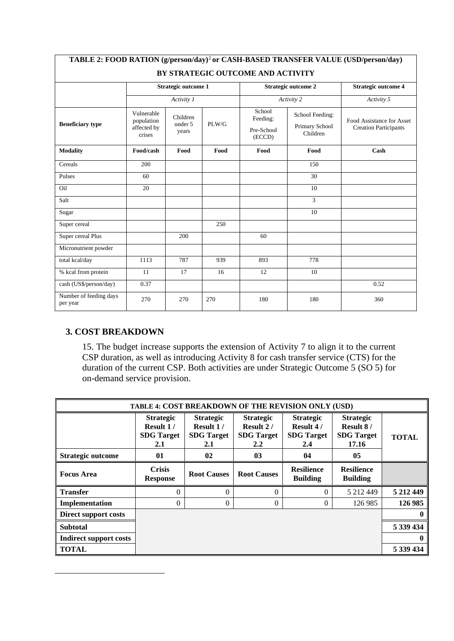| TABLE 2: FOOD RATION (g/person/day) <sup>2</sup> or CASH-BASED TRANSFER VALUE (USD/person/day) |                                                   |                              |       |                                            |                                               |                                                           |  |  |
|------------------------------------------------------------------------------------------------|---------------------------------------------------|------------------------------|-------|--------------------------------------------|-----------------------------------------------|-----------------------------------------------------------|--|--|
| BY STRATEGIC OUTCOME AND ACTIVITY                                                              |                                                   |                              |       |                                            |                                               |                                                           |  |  |
|                                                                                                | <b>Strategic outcome 1</b>                        |                              |       |                                            | <b>Strategic outcome 2</b>                    | <b>Strategic outcome 4</b>                                |  |  |
|                                                                                                | Activity 1                                        |                              |       |                                            | Activity 2                                    | Activity 5                                                |  |  |
| <b>Beneficiary type</b>                                                                        | Vulnerable<br>population<br>affected by<br>crises | Children<br>under 5<br>years | PLW/G | School<br>Feeding:<br>Pre-School<br>(ECCD) | School Feeding:<br>Primary School<br>Children | Food Assistance for Asset<br><b>Creation Participants</b> |  |  |
| <b>Modality</b>                                                                                | Food/cash                                         | Food                         | Food  | Food                                       | Food                                          | Cash                                                      |  |  |
| Cereals                                                                                        | 200                                               |                              |       |                                            | 150                                           |                                                           |  |  |
| Pulses                                                                                         | 60                                                |                              |       |                                            | 30                                            |                                                           |  |  |
| Oil                                                                                            | 20                                                |                              |       |                                            | 10                                            |                                                           |  |  |
| Salt                                                                                           |                                                   |                              |       |                                            | 3                                             |                                                           |  |  |
| Sugar                                                                                          |                                                   |                              |       |                                            | 10                                            |                                                           |  |  |
| Super cereal                                                                                   |                                                   |                              | 250   |                                            |                                               |                                                           |  |  |
| Super cereal Plus                                                                              |                                                   | 200                          |       | 60                                         |                                               |                                                           |  |  |
| Micronutrient powder                                                                           |                                                   |                              |       |                                            |                                               |                                                           |  |  |
| total kcal/day                                                                                 | 1113                                              | 787                          | 939   | 893                                        | 778                                           |                                                           |  |  |
| % kcal from protein                                                                            | 11                                                | 17                           | 16    | 12                                         | 10                                            |                                                           |  |  |
| cash (US\$/person/day)                                                                         | 0.37                                              |                              |       |                                            |                                               | 0.52                                                      |  |  |
| Number of feeding days<br>per year                                                             | 270                                               | 270                          | 270   | 180                                        | 180                                           | 360                                                       |  |  |

# **3. COST BREAKDOWN**

15. The budget increase supports the extension of Activity 7 to align it to the current CSP duration, as well as introducing Activity 8 for cash transfer service (CTS) for the duration of the current CSP. Both activities are under Strategic Outcome 5 (SO 5) for on-demand service provision.

| TABLE 4: COST BREAKDOWN OF THE REVISION ONLY (USD) |                                                                 |                                                                 |                                                                             |                                                                 |                                                                   |              |  |
|----------------------------------------------------|-----------------------------------------------------------------|-----------------------------------------------------------------|-----------------------------------------------------------------------------|-----------------------------------------------------------------|-------------------------------------------------------------------|--------------|--|
| Strategic outcome                                  | <b>Strategic</b><br>Result 1/<br><b>SDG</b> Target<br>2.1<br>01 | <b>Strategic</b><br>Result 1/<br><b>SDG</b> Target<br>2.1<br>02 | <b>Strategic</b><br>Result 2/<br><b>SDG</b> Target<br>2.2<br>0 <sub>3</sub> | <b>Strategic</b><br>Result 4/<br><b>SDG</b> Target<br>2.4<br>04 | <b>Strategic</b><br>Result 8/<br><b>SDG</b> Target<br>17.16<br>05 | <b>TOTAL</b> |  |
| <b>Focus Area</b>                                  | <b>Crisis</b><br><b>Response</b>                                | <b>Root Causes</b>                                              | <b>Root Causes</b>                                                          | <b>Resilience</b><br><b>Building</b>                            | <b>Resilience</b><br><b>Building</b>                              |              |  |
| <b>Transfer</b>                                    | $\theta$                                                        | $\theta$                                                        | $\Omega$                                                                    | $\Omega$                                                        | 5 212 449                                                         | 5 212 449    |  |
| Implementation                                     | $\theta$                                                        | $\theta$                                                        | $\Omega$                                                                    | $\Omega$                                                        | 126 985                                                           | 126 985      |  |
| Direct support costs                               |                                                                 |                                                                 |                                                                             |                                                                 |                                                                   |              |  |
| <b>Subtotal</b>                                    |                                                                 |                                                                 |                                                                             |                                                                 |                                                                   | 5 339 434    |  |
| Indirect support costs                             |                                                                 |                                                                 |                                                                             |                                                                 |                                                                   | $\mathbf{0}$ |  |
| <b>TOTAL</b>                                       |                                                                 |                                                                 |                                                                             |                                                                 |                                                                   | 5 339 434    |  |